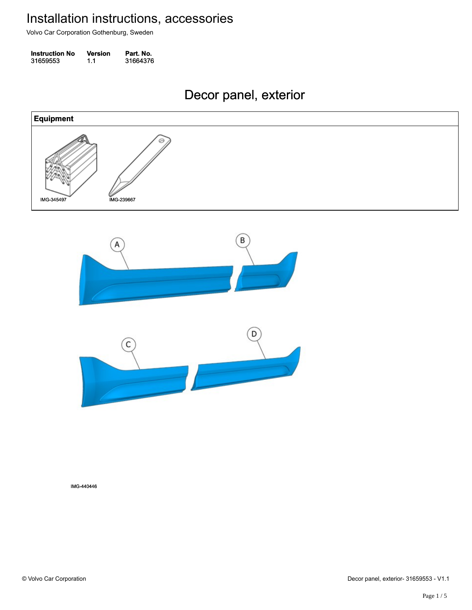Volvo Car Corporation Gothenburg, Sweden

| <b>Instruction No</b> | <b>Version</b> | Part. No. |
|-----------------------|----------------|-----------|
| 31659553              | 1.1            | 31664376  |

### Decor panel, exterior Decor panel, exterior





IMG-440446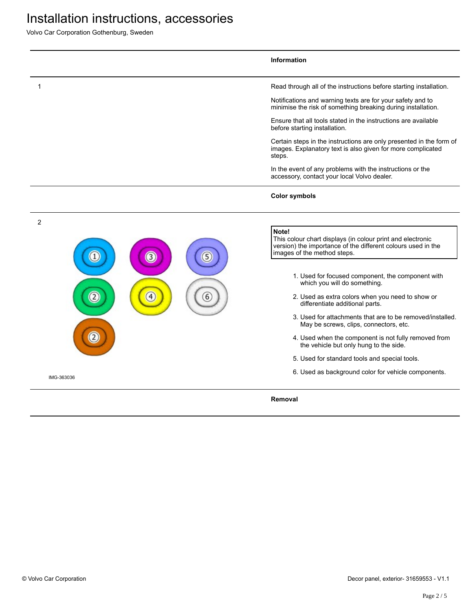Volvo Car Corporation Gothenburg, Sweden

|            |                  |   | <b>Information</b>                                                                                                                                                 |
|------------|------------------|---|--------------------------------------------------------------------------------------------------------------------------------------------------------------------|
|            |                  |   | Read through all of the instructions before starting installation.                                                                                                 |
|            |                  |   | Notifications and warning texts are for your safety and to<br>minimise the risk of something breaking during installation.                                         |
|            |                  |   | Ensure that all tools stated in the instructions are available<br>before starting installation.                                                                    |
|            |                  |   | Certain steps in the instructions are only presented in the form of<br>images. Explanatory text is also given for more complicated<br>steps.                       |
|            |                  |   | In the event of any problems with the instructions or the<br>accessory, contact your local Volvo dealer.                                                           |
|            |                  |   | <b>Color symbols</b>                                                                                                                                               |
| 2          |                  |   |                                                                                                                                                                    |
|            | $\left(3\right)$ | 5 | Note!<br>This colour chart displays (in colour print and electronic<br>version) the importance of the different colours used in the<br>images of the method steps. |
|            |                  |   | 1. Used for focused component, the component with<br>which you will do something.                                                                                  |
|            | 4                | 6 | 2. Used as extra colors when you need to show or<br>differentiate additional parts.                                                                                |
|            |                  |   | 3. Used for attachments that are to be removed/installed.<br>May be screws, clips, connectors, etc.                                                                |
|            |                  |   | 4. Used when the component is not fully removed from<br>the vehicle but only hung to the side.                                                                     |
|            |                  |   | 5. Used for standard tools and special tools.                                                                                                                      |
| IMG-363036 |                  |   | 6. Used as background color for vehicle components.                                                                                                                |
|            |                  |   | Removal                                                                                                                                                            |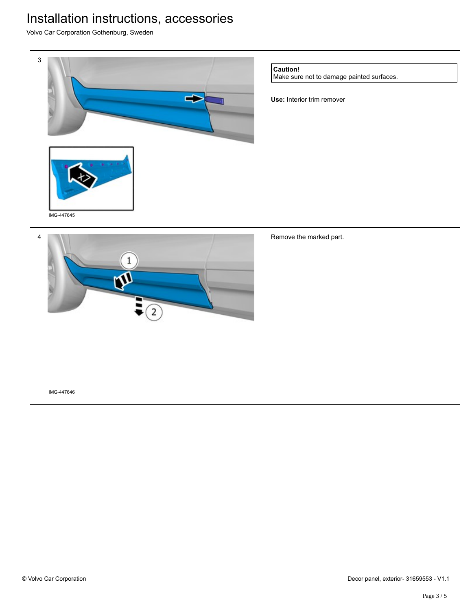Volvo Car Corporation Gothenburg, Sweden



#### **Caution!**

Make sure not to damage painted surfaces.

**Use:** Interior trim remover



### Remove the marked part.

IMG-447646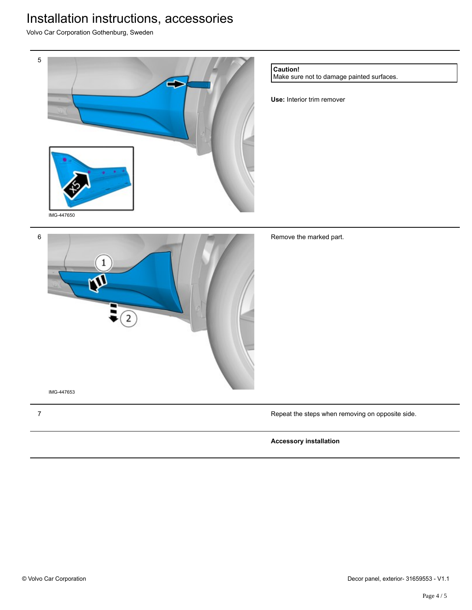Volvo Car Corporation Gothenburg, Sweden